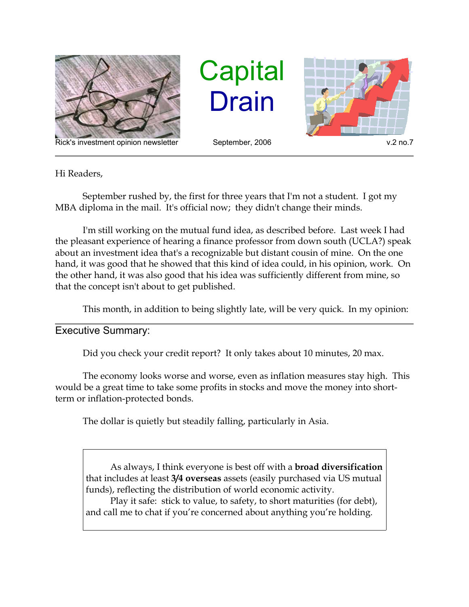

Rick's investment opinion newsletter September, 2006 v.2 no.7

**Capital** Drain



Hi Readers,

September rushed by, the first for three years that I'm not a student. I got my MBA diploma in the mail. It's official now; they didn't change their minds.

I'm still working on the mutual fund idea, as described before. Last week I had the pleasant experience of hearing a finance professor from down south (UCLA?) speak about an investment idea that's a recognizable but distant cousin of mine. On the one hand, it was good that he showed that this kind of idea could, in his opinion, work. On the other hand, it was also good that his idea was sufficiently different from mine, so that the concept isn't about to get published.

This month, in addition to being slightly late, will be very quick. In my opinion:

Executive Summary:

Did you check your credit report? It only takes about 10 minutes, 20 max.

The economy looks worse and worse, even as inflation measures stay high. This would be a great time to take some profits in stocks and move the money into shortterm or inflation-protected bonds.

The dollar is quietly but steadily falling, particularly in Asia.

As always, I think everyone is best off with a **broad diversification** that includes at least **3/4 overseas** assets (easily purchased via US mutual funds), reflecting the distribution of world economic activity.

Play it safe: stick to value, to safety, to short maturities (for debt), and call me to chat if you're concerned about anything you're holding.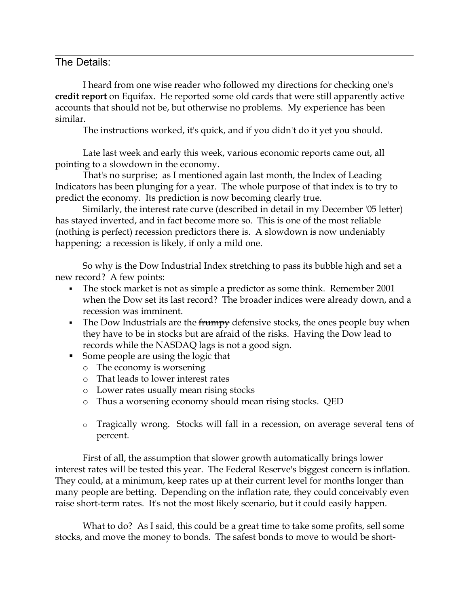## The Details:

I heard from one wise reader who followed my directions for checking one's **credit report** on Equifax. He reported some old cards that were still apparently active accounts that should not be, but otherwise no problems. My experience has been similar.

The instructions worked, it's quick, and if you didn't do it yet you should.

Late last week and early this week, various economic reports came out, all pointing to a slowdown in the economy.

That's no surprise; as I mentioned again last month, the Index of Leading Indicators has been plunging for a year. The whole purpose of that index is to try to predict the economy. Its prediction is now becoming clearly true.

Similarly, the interest rate curve (described in detail in my December '05 letter) has stayed inverted, and in fact become more so. This is one of the most reliable (nothing is perfect) recession predictors there is. A slowdown is now undeniably happening; a recession is likely, if only a mild one.

So why is the Dow Industrial Index stretching to pass its bubble high and set a new record? A few points:

- The stock market is not as simple a predictor as some think. Remember 2001 when the Dow set its last record? The broader indices were already down, and a recession was imminent.
- The Dow Industrials are the frumpy defensive stocks, the ones people buy when they have to be in stocks but are afraid of the risks. Having the Dow lead to records while the NASDAQ lags is not a good sign.
- Some people are using the logic that
	- o The economy is worsening
	- o That leads to lower interest rates
	- o Lower rates usually mean rising stocks
	- o Thus a worsening economy should mean rising stocks. QED
	- o Tragically wrong. Stocks will fall in a recession, on average several tens of percent.

First of all, the assumption that slower growth automatically brings lower interest rates will be tested this year. The Federal Reserve's biggest concern is inflation. They could, at a minimum, keep rates up at their current level for months longer than many people are betting. Depending on the inflation rate, they could conceivably even raise short-term rates. It's not the most likely scenario, but it could easily happen.

What to do? As I said, this could be a great time to take some profits, sell some stocks, and move the money to bonds. The safest bonds to move to would be short-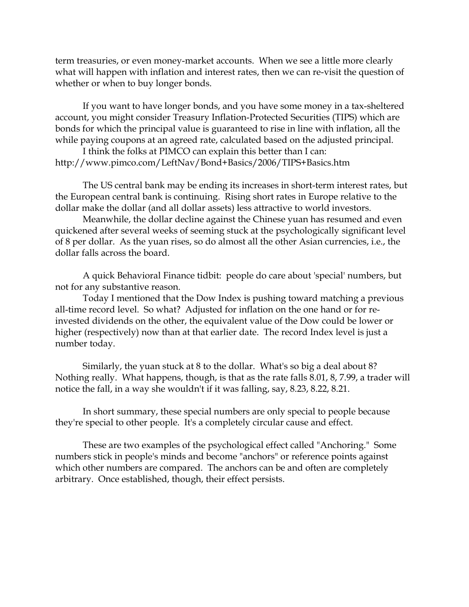term treasuries, or even money-market accounts. When we see a little more clearly what will happen with inflation and interest rates, then we can re-visit the question of whether or when to buy longer bonds.

If you want to have longer bonds, and you have some money in a tax-sheltered account, you might consider Treasury Inflation-Protected Securities (TIPS) which are bonds for which the principal value is guaranteed to rise in line with inflation, all the while paying coupons at an agreed rate, calculated based on the adjusted principal.

I think the folks at PIMCO can explain this better than I can: http://www.pimco.com/LeftNav/Bond+Basics/2006/TIPS+Basics.htm

The US central bank may be ending its increases in short-term interest rates, but the European central bank is continuing. Rising short rates in Europe relative to the dollar make the dollar (and all dollar assets) less attractive to world investors.

Meanwhile, the dollar decline against the Chinese yuan has resumed and even quickened after several weeks of seeming stuck at the psychologically significant level of 8 per dollar. As the yuan rises, so do almost all the other Asian currencies, i.e., the dollar falls across the board.

A quick Behavioral Finance tidbit: people do care about 'special' numbers, but not for any substantive reason.

Today I mentioned that the Dow Index is pushing toward matching a previous all-time record level. So what? Adjusted for inflation on the one hand or for reinvested dividends on the other, the equivalent value of the Dow could be lower or higher (respectively) now than at that earlier date. The record Index level is just a number today.

Similarly, the yuan stuck at 8 to the dollar. What's so big a deal about 8? Nothing really. What happens, though, is that as the rate falls 8.01, 8, 7.99, a trader will notice the fall, in a way she wouldn't if it was falling, say, 8.23, 8.22, 8.21.

In short summary, these special numbers are only special to people because they're special to other people. It's a completely circular cause and effect.

These are two examples of the psychological effect called "Anchoring." Some numbers stick in people's minds and become "anchors" or reference points against which other numbers are compared. The anchors can be and often are completely arbitrary. Once established, though, their effect persists.